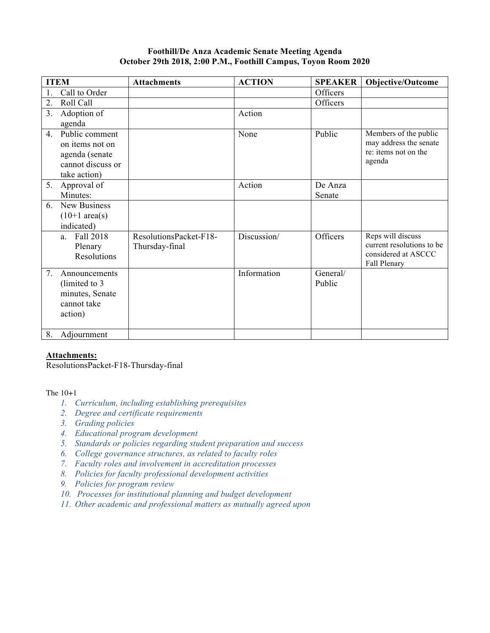## **Foothill/De Anza Academic Senate Meeting Agenda October 29th 2018, 2:00 P.M., Foothill Campus, Toyon Room 2020**

|                  | <b>ITEM</b>              | <b>Attachments</b>     | <b>ACTION</b> | <b>SPEAKER</b>     | <b>Objective/Outcome</b>  |
|------------------|--------------------------|------------------------|---------------|--------------------|---------------------------|
|                  | Call to Order            |                        |               | Officers           |                           |
| $\overline{2}$ . | Roll Call                |                        |               | Officers           |                           |
| 3 <sub>1</sub>   | Adoption of              |                        | Action        |                    |                           |
|                  | agenda                   |                        |               |                    |                           |
| 4.               | Public comment           |                        | None          | Public             | Members of the public     |
|                  | on items not on          |                        |               |                    | may address the senate    |
|                  | agenda (senate           |                        |               |                    | re: items not on the      |
|                  | cannot discuss or        |                        |               |                    | agenda                    |
|                  | take action)             |                        |               |                    |                           |
| 5.               | Approval of              |                        | Action        | De Anza            |                           |
|                  | Minutes:                 |                        |               | Senate             |                           |
| 6.               | <b>New Business</b>      |                        |               |                    |                           |
|                  | $(10+1 \text{ area(s)})$ |                        |               |                    |                           |
|                  | indicated)               |                        |               |                    |                           |
|                  | Fall 2018<br>a           | ResolutionsPacket-F18- | Discussion/   | Officers           | Reps will discuss         |
|                  | Plenary                  | Thursday-final         |               |                    | current resolutions to be |
|                  | Resolutions              |                        |               |                    | considered at ASCCC       |
| 7.               |                          |                        | Information   |                    | Fall Plenary              |
|                  | Announcements            |                        |               | General/<br>Public |                           |
|                  | (limited to 3)           |                        |               |                    |                           |
|                  | minutes, Senate          |                        |               |                    |                           |
|                  | cannot take              |                        |               |                    |                           |
|                  | action)                  |                        |               |                    |                           |
| 8.               | Adjournment              |                        |               |                    |                           |

## **Attachments:**

ResolutionsPacket-F18-Thursday-final

The  $10+1$ 

- *1. Curriculum, including establishing prerequisites*
- *2. Degree and certificate requirements*
- *3. Grading policies*
- *4. Educational program development*
- *5. Standards or policies regarding student preparation and success*
- *6. College governance structures, as related to faculty roles*
- *7. Faculty roles and involvement in accreditation processes*
- *8. Policies for faculty professional development activities*
- *9. Policies for program review*
- *10. Processes for institutional planning and budget development*
- *11. Other academic and professional matters as mutually agreed upon*